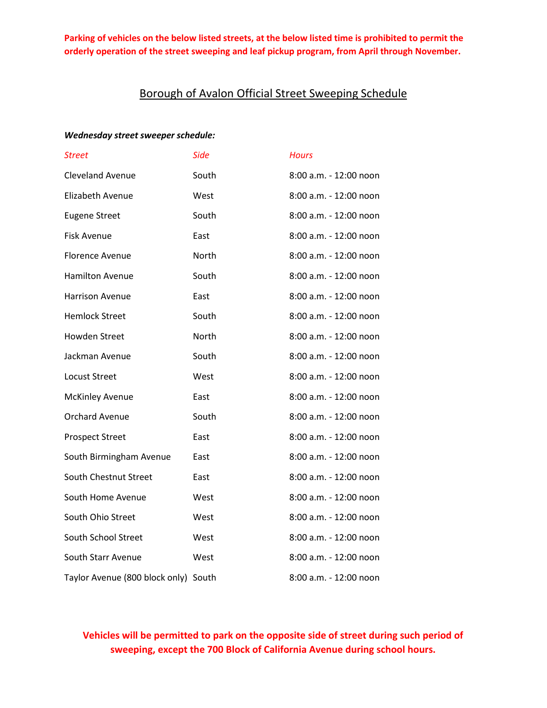## Borough of Avalon Official Street Sweeping Schedule

#### *Wednesday street sweeper schedule:*

| Street                               | <b>Side</b> | <b>Hours</b>           |
|--------------------------------------|-------------|------------------------|
| <b>Cleveland Avenue</b>              | South       | 8:00 a.m. - 12:00 noon |
| Elizabeth Avenue                     | West        | 8:00 a.m. - 12:00 noon |
| <b>Eugene Street</b>                 | South       | 8:00 a.m. - 12:00 noon |
| <b>Fisk Avenue</b>                   | East        | 8:00 a.m. - 12:00 noon |
| Florence Avenue                      | North       | 8:00 a.m. - 12:00 noon |
| <b>Hamilton Avenue</b>               | South       | 8:00 a.m. - 12:00 noon |
| Harrison Avenue                      | East        | 8:00 a.m. - 12:00 noon |
| <b>Hemlock Street</b>                | South       | 8:00 a.m. - 12:00 noon |
| <b>Howden Street</b>                 | North       | 8:00 a.m. - 12:00 noon |
| Jackman Avenue                       | South       | 8:00 a.m. - 12:00 noon |
| <b>Locust Street</b>                 | West        | 8:00 a.m. - 12:00 noon |
| <b>McKinley Avenue</b>               | East        | 8:00 a.m. - 12:00 noon |
| <b>Orchard Avenue</b>                | South       | 8:00 a.m. - 12:00 noon |
| <b>Prospect Street</b>               | East        | 8:00 a.m. - 12:00 noon |
| South Birmingham Avenue              | East        | 8:00 a.m. - 12:00 noon |
| South Chestnut Street                | East        | 8:00 a.m. - 12:00 noon |
| South Home Avenue                    | West        | 8:00 a.m. - 12:00 noon |
| South Ohio Street                    | West        | 8:00 a.m. - 12:00 noon |
| South School Street                  | West        | 8:00 a.m. - 12:00 noon |
| South Starr Avenue                   | West        | 8:00 a.m. - 12:00 noon |
| Taylor Avenue (800 block only) South |             | 8:00 a.m. - 12:00 noon |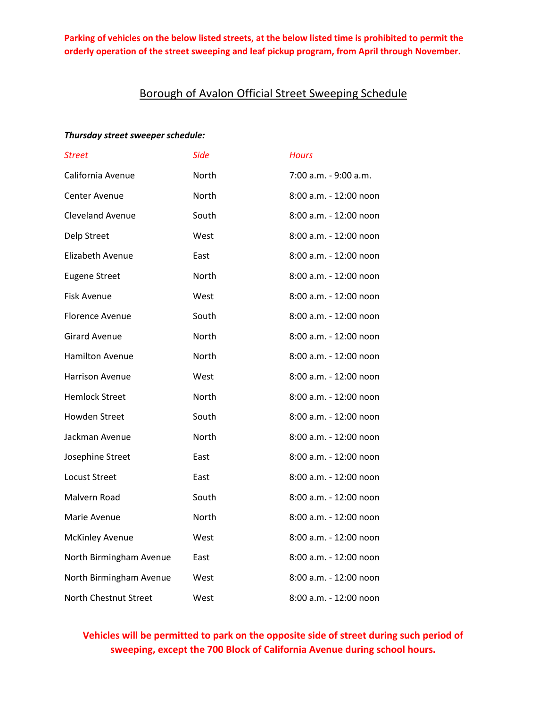## Borough of Avalon Official Street Sweeping Schedule

#### *Thursday street sweeper schedule:*

| <b>Street</b>           | <b>Side</b> | <b>Hours</b>           |
|-------------------------|-------------|------------------------|
| California Avenue       | North       | 7:00 a.m. - 9:00 a.m.  |
| <b>Center Avenue</b>    | North       | 8:00 a.m. - 12:00 noon |
| <b>Cleveland Avenue</b> | South       | 8:00 a.m. - 12:00 noon |
| Delp Street             | West        | 8:00 a.m. - 12:00 noon |
| Elizabeth Avenue        | East        | 8:00 a.m. - 12:00 noon |
| <b>Eugene Street</b>    | North       | 8:00 a.m. - 12:00 noon |
| Fisk Avenue             | West        | 8:00 a.m. - 12:00 noon |
| Florence Avenue         | South       | 8:00 a.m. - 12:00 noon |
| <b>Girard Avenue</b>    | North       | 8:00 a.m. - 12:00 noon |
| <b>Hamilton Avenue</b>  | North       | 8:00 a.m. - 12:00 noon |
| <b>Harrison Avenue</b>  | West        | 8:00 a.m. - 12:00 noon |
| <b>Hemlock Street</b>   | North       | 8:00 a.m. - 12:00 noon |
| <b>Howden Street</b>    | South       | 8:00 a.m. - 12:00 noon |
| Jackman Avenue          | North       | 8:00 a.m. - 12:00 noon |
| Josephine Street        | East        | 8:00 a.m. - 12:00 noon |
| <b>Locust Street</b>    | East        | 8:00 a.m. - 12:00 noon |
| Malvern Road            | South       | 8:00 a.m. - 12:00 noon |
| Marie Avenue            | North       | 8:00 a.m. - 12:00 noon |
| <b>McKinley Avenue</b>  | West        | 8:00 a.m. - 12:00 noon |
| North Birmingham Avenue | East        | 8:00 a.m. - 12:00 noon |
| North Birmingham Avenue | West        | 8:00 a.m. - 12:00 noon |
| North Chestnut Street   | West        | 8:00 a.m. - 12:00 noon |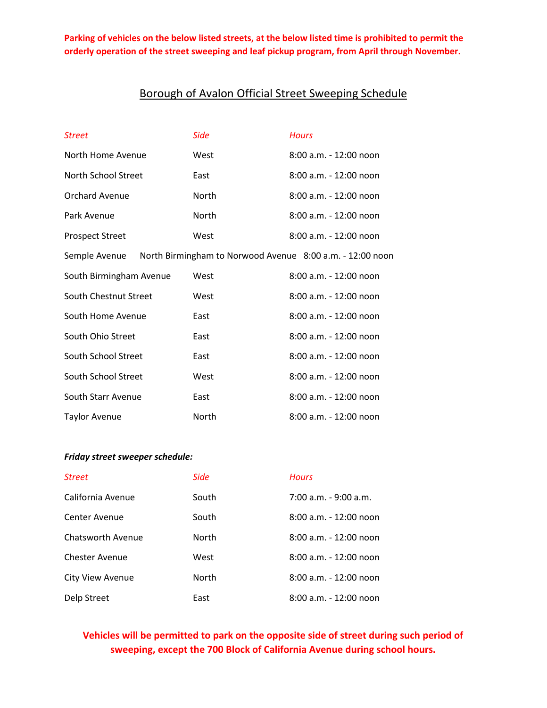# Borough of Avalon Official Street Sweeping Schedule

| <b>Street</b>                                                              | Side         | <b>Hours</b>             |  |
|----------------------------------------------------------------------------|--------------|--------------------------|--|
| North Home Avenue                                                          | West         | $8:00$ a.m. - 12:00 noon |  |
| North School Street                                                        | East         | 8:00 a.m. - 12:00 noon   |  |
| <b>Orchard Avenue</b>                                                      | <b>North</b> | 8:00 a.m. - 12:00 noon   |  |
| Park Avenue                                                                | North        | $8:00$ a.m. - 12:00 noon |  |
| <b>Prospect Street</b>                                                     | West         | $8:00$ a.m. - 12:00 noon |  |
| North Birmingham to Norwood Avenue 8:00 a.m. - 12:00 noon<br>Semple Avenue |              |                          |  |
| South Birmingham Avenue                                                    | West         | 8:00 a.m. - 12:00 noon   |  |
| South Chestnut Street                                                      | West         | $8:00$ a.m. - 12:00 noon |  |
| South Home Avenue                                                          | East         | 8:00 a.m. - 12:00 noon   |  |
| South Ohio Street                                                          | East         | 8:00 a.m. - 12:00 noon   |  |
| South School Street                                                        | East         | 8:00 a.m. - 12:00 noon   |  |
| South School Street                                                        | West         | 8:00 a.m. - 12:00 noon   |  |
| South Starr Avenue                                                         | East         | 8:00 a.m. - 12:00 noon   |  |
| <b>Taylor Avenue</b>                                                       | North        | 8:00 a.m. - 12:00 noon   |  |

### *Friday street sweeper schedule:*

| <b>Street</b>            | <b>Side</b>  | <b>Hours</b>             |
|--------------------------|--------------|--------------------------|
| California Avenue        | South        | $7:00$ a.m. - 9:00 a.m.  |
| <b>Center Avenue</b>     | South        | $8:00$ a.m. - 12:00 noon |
| <b>Chatsworth Avenue</b> | North        | $8:00$ a.m. - 12:00 noon |
| <b>Chester Avenue</b>    | West         | 8:00 a.m. - 12:00 noon   |
| City View Avenue         | <b>North</b> | $8:00$ a.m. - 12:00 noon |
| Delp Street              | East         | 8:00 a.m. - 12:00 noon   |